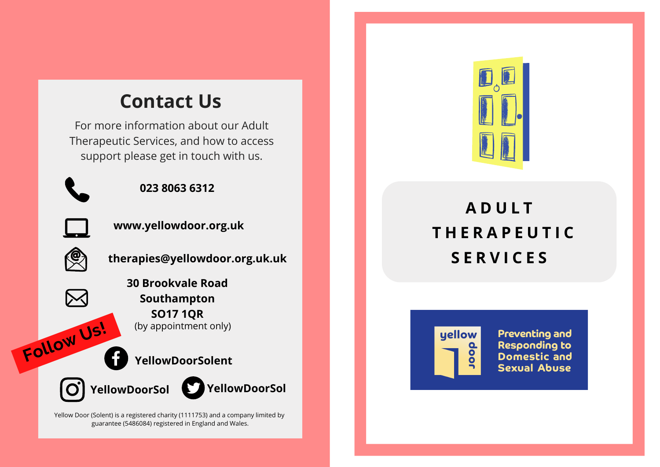## **Contact Us**

For more information about our Adult Therapeutic Services, and how to access support please get in touch with us.

**023 8063 6312**



**www.yellowdoor.org.uk**



**therapies@yellowdoor.org.uk.uk**

**30 Brookvale Road Southampton SO17 1QR** (by appointment only)

#### **YellowDoorSolent**



**Follow Us!**





Yellow Door (Solent) is a registered charity (1111753) and a company limited by guarantee (5486084) registered in England and Wales.



# **A D U L T T H E R A P E U T I C S E R V I C E S**



**Preventing and Responding to Domestic and Sexual Abuse**